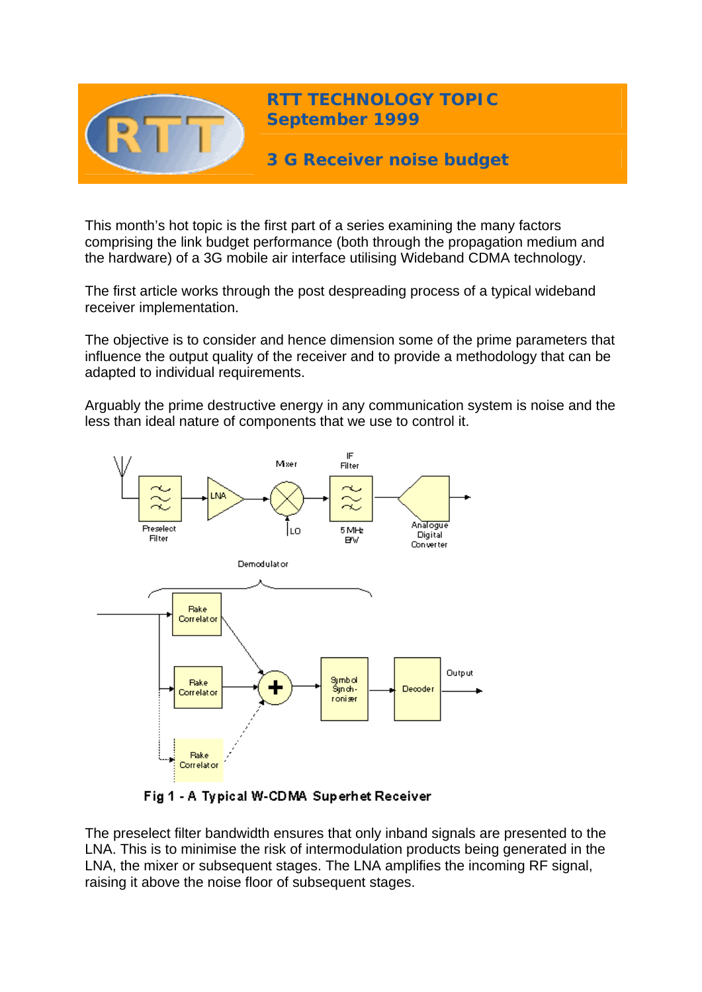

This month's hot topic is the first part of a series examining the many factors comprising the link budget performance (both through the propagation medium and the hardware) of a 3G mobile air interface utilising Wideband CDMA technology.

The first article works through the post despreading process of a typical wideband receiver implementation.

The objective is to consider and hence dimension some of the prime parameters that influence the output quality of the receiver and to provide a methodology that can be adapted to individual requirements.

Arguably the prime destructive energy in any communication system is noise and the less than ideal nature of components that we use to control it.



Fig 1 - A Typical W-CDMA Superhet Receiver

The preselect filter bandwidth ensures that only inband signals are presented to the LNA. This is to minimise the risk of intermodulation products being generated in the LNA, the mixer or subsequent stages. The LNA amplifies the incoming RF signal, raising it above the noise floor of subsequent stages.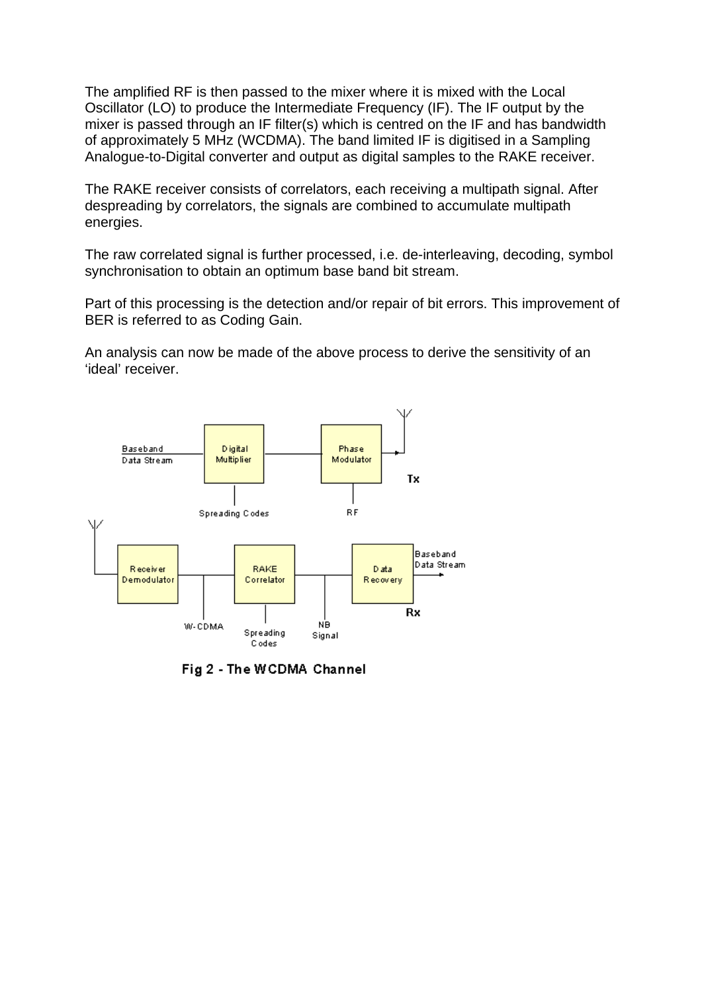The amplified RF is then passed to the mixer where it is mixed with the Local Oscillator (LO) to produce the Intermediate Frequency (IF). The IF output by the mixer is passed through an IF filter(s) which is centred on the IF and has bandwidth of approximately 5 MHz (WCDMA). The band limited IF is digitised in a Sampling Analogue-to-Digital converter and output as digital samples to the RAKE receiver.

The RAKE receiver consists of correlators, each receiving a multipath signal. After despreading by correlators, the signals are combined to accumulate multipath energies.

The raw correlated signal is further processed, i.e. de-interleaving, decoding, symbol synchronisation to obtain an optimum base band bit stream.

Part of this processing is the detection and/or repair of bit errors. This improvement of BER is referred to as Coding Gain.

An analysis can now be made of the above process to derive the sensitivity of an 'ideal' receiver.



Fig 2 - The WCDMA Channel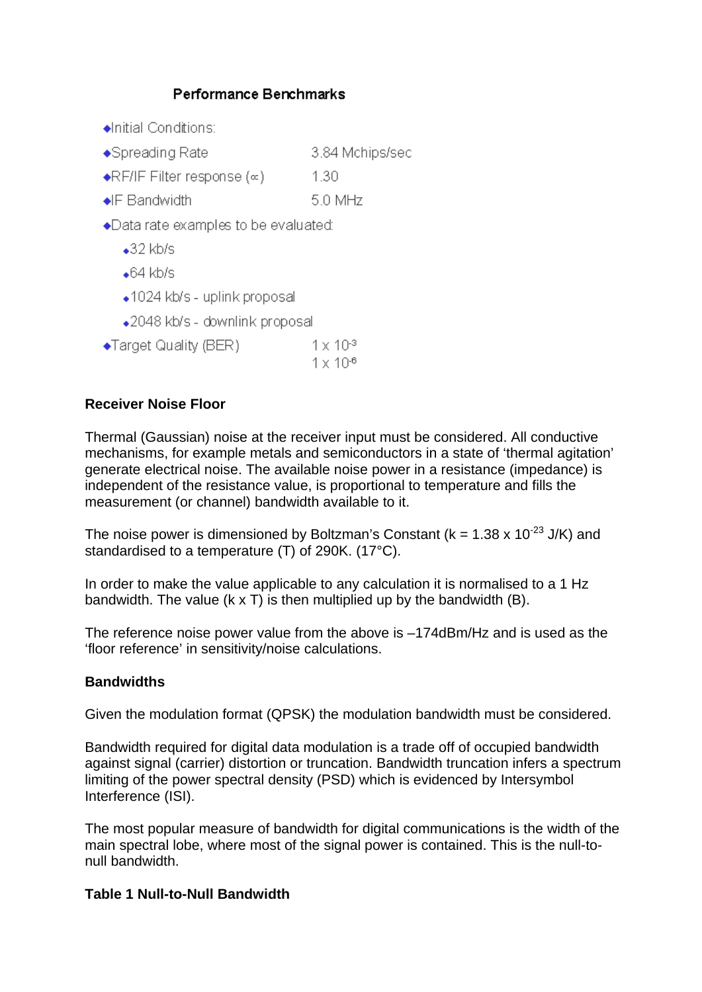# Performance Benchmarks



## **Receiver Noise Floor**

Thermal (Gaussian) noise at the receiver input must be considered. All conductive mechanisms, for example metals and semiconductors in a state of 'thermal agitation' generate electrical noise. The available noise power in a resistance (impedance) is independent of the resistance value, is proportional to temperature and fills the measurement (or channel) bandwidth available to it.

The noise power is dimensioned by Boltzman's Constant ( $k = 1.38 \times 10^{-23}$  J/K) and standardised to a temperature (T) of 290K. (17°C).

In order to make the value applicable to any calculation it is normalised to a 1 Hz bandwidth. The value (k x T) is then multiplied up by the bandwidth (B).

The reference noise power value from the above is –174dBm/Hz and is used as the 'floor reference' in sensitivity/noise calculations.

### **Bandwidths**

Given the modulation format (QPSK) the modulation bandwidth must be considered.

Bandwidth required for digital data modulation is a trade off of occupied bandwidth against signal (carrier) distortion or truncation. Bandwidth truncation infers a spectrum limiting of the power spectral density (PSD) which is evidenced by Intersymbol Interference (ISI).

The most popular measure of bandwidth for digital communications is the width of the main spectral lobe, where most of the signal power is contained. This is the null-tonull bandwidth.

### **Table 1 Null-to-Null Bandwidth**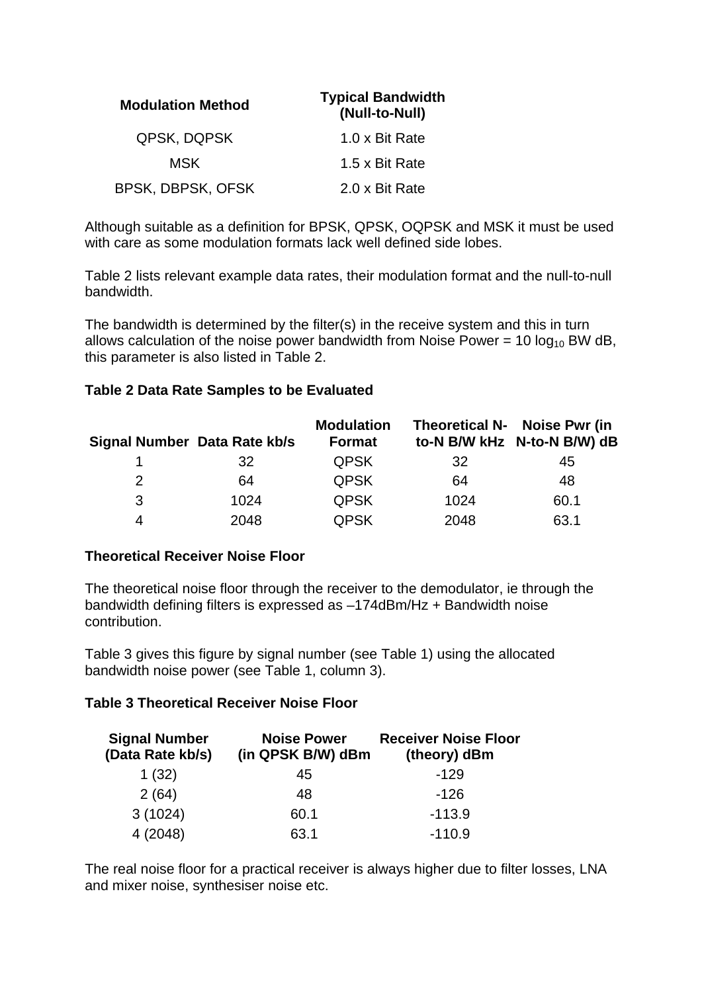| <b>Modulation Method</b> | <b>Typical Bandwidth</b><br>(Null-to-Null) |
|--------------------------|--------------------------------------------|
| QPSK, DQPSK              | 1.0 x Bit Rate                             |
| MSK                      | 1.5 x Bit Rate                             |
| BPSK, DBPSK, OFSK        | 2.0 x Bit Rate                             |

Although suitable as a definition for BPSK, QPSK, OQPSK and MSK it must be used with care as some modulation formats lack well defined side lobes.

Table 2 lists relevant example data rates, their modulation format and the null-to-null bandwidth.

The bandwidth is determined by the filter(s) in the receive system and this in turn allows calculation of the noise power bandwidth from Noise Power = 10  $log_{10}$  BW dB, this parameter is also listed in Table 2.

## **Table 2 Data Rate Samples to be Evaluated**

| Signal Number Data Rate kb/s |      | <b>Modulation</b><br>Format |      | Theoretical N- Noise Pwr (in<br>to-N B/W kHz N-to-N B/W) dB |
|------------------------------|------|-----------------------------|------|-------------------------------------------------------------|
|                              | 32   | <b>QPSK</b>                 | 32   | 45                                                          |
| 2                            | 64   | <b>QPSK</b>                 | 64   | 48                                                          |
| 3                            | 1024 | <b>QPSK</b>                 | 1024 | 60.1                                                        |
| 4                            | 2048 | <b>QPSK</b>                 | 2048 | 63.1                                                        |

### **Theoretical Receiver Noise Floor**

The theoretical noise floor through the receiver to the demodulator, ie through the bandwidth defining filters is expressed as –174dBm/Hz + Bandwidth noise contribution.

Table 3 gives this figure by signal number (see Table 1) using the allocated bandwidth noise power (see Table 1, column 3).

### **Table 3 Theoretical Receiver Noise Floor**

| <b>Signal Number</b><br>(Data Rate kb/s) | <b>Noise Power</b><br>(in QPSK B/W) dBm | <b>Receiver Noise Floor</b><br>(theory) dBm |
|------------------------------------------|-----------------------------------------|---------------------------------------------|
| 1(32)                                    | 45                                      | $-129$                                      |
| 2(64)                                    | 48                                      | $-126$                                      |
| 3(1024)                                  | 60.1                                    | $-113.9$                                    |
| 4(2048)                                  | 63.1                                    | $-110.9$                                    |

The real noise floor for a practical receiver is always higher due to filter losses, LNA and mixer noise, synthesiser noise etc.